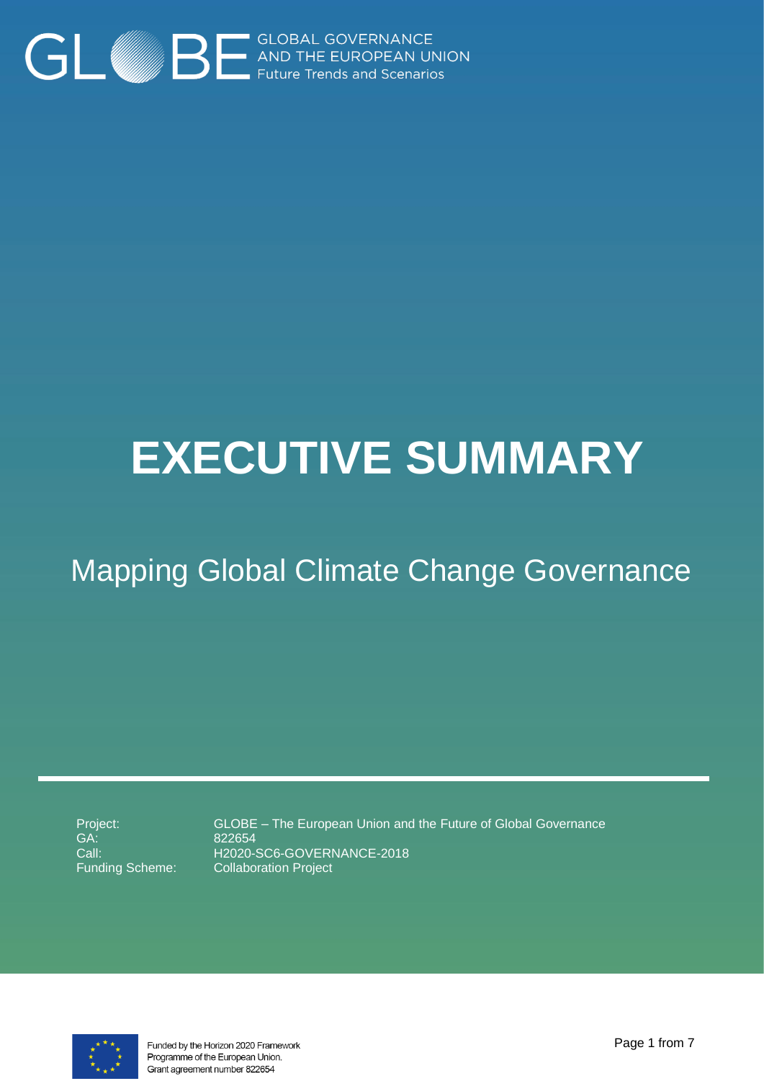

# **EXECUTIVE SUMMARY**

# Mapping Global Climate Change Governance

Project: GA: Call: Funding Scheme:

GLOBE – The European Union and the Future of Global Governance 822654 H2020-SC6-GOVERNANCE-2018 Collaboration Project



Funded by the Horizon 2020 Framework Programme of the European Union. Grant agreement number 822654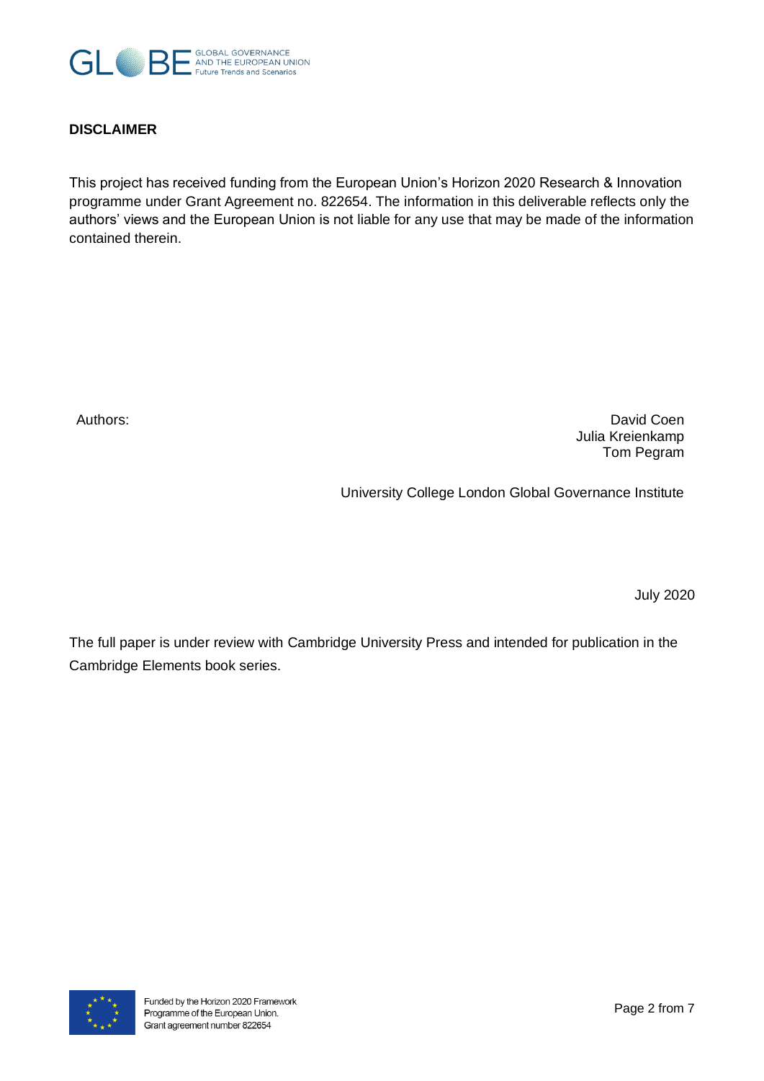

#### **DISCLAIMER**

This project has received funding from the European Union's Horizon 2020 Research & Innovation programme under Grant Agreement no. 822654. The information in this deliverable reflects only the authors' views and the European Union is not liable for any use that may be made of the information contained therein.

Authors: David Coen Julia Kreienkamp Tom Pegram

University College London Global Governance Institute

July 2020

The full paper is under review with Cambridge University Press and intended for publication in the Cambridge Elements book series.

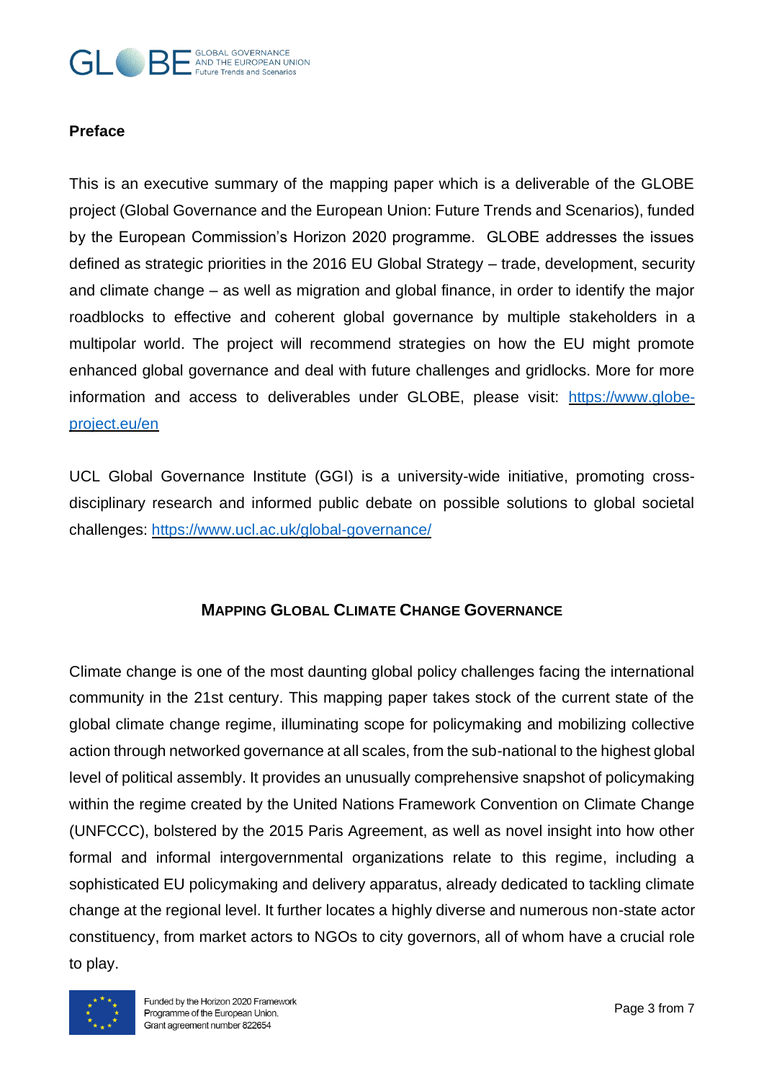#### GLOBAL GOVERNANCE  $\left( \begin{array}{c} \begin{array}{c} \hline \end{array} \\ \hline \end{array} \right)$   $\begin{array}{c} \hline \end{array}$  AND THE EUROPEAN UNION **Future Trends and Scenarios**

### **Preface**

This is an executive summary of the mapping paper which is a deliverable of the GLOBE project (Global Governance and the European Union: Future Trends and Scenarios), funded by the European Commission's Horizon 2020 programme. GLOBE addresses the issues defined as strategic priorities in the 2016 EU Global Strategy – trade, development, security and climate change – as well as migration and global finance, in order to identify the major roadblocks to effective and coherent global governance by multiple stakeholders in a multipolar world. The project will recommend strategies on how the EU might promote enhanced global governance and deal with future challenges and gridlocks. More for more information and access to deliverables under GLOBE, please visit: [https://www.globe](https://www.globe-project.eu/en)[project.eu/en](https://www.globe-project.eu/en)

UCL Global Governance Institute (GGI) is a university-wide initiative, promoting crossdisciplinary research and informed public debate on possible solutions to global societal challenges:<https://www.ucl.ac.uk/global-governance/>

## **MAPPING GLOBAL CLIMATE CHANGE GOVERNANCE**

Climate change is one of the most daunting global policy challenges facing the international community in the 21st century. This mapping paper takes stock of the current state of the global climate change regime, illuminating scope for policymaking and mobilizing collective action through networked governance at all scales, from the sub-national to the highest global level of political assembly. It provides an unusually comprehensive snapshot of policymaking within the regime created by the United Nations Framework Convention on Climate Change (UNFCCC), bolstered by the 2015 Paris Agreement, as well as novel insight into how other formal and informal intergovernmental organizations relate to this regime, including a sophisticated EU policymaking and delivery apparatus, already dedicated to tackling climate change at the regional level. It further locates a highly diverse and numerous non-state actor constituency, from market actors to NGOs to city governors, all of whom have a crucial role to play.

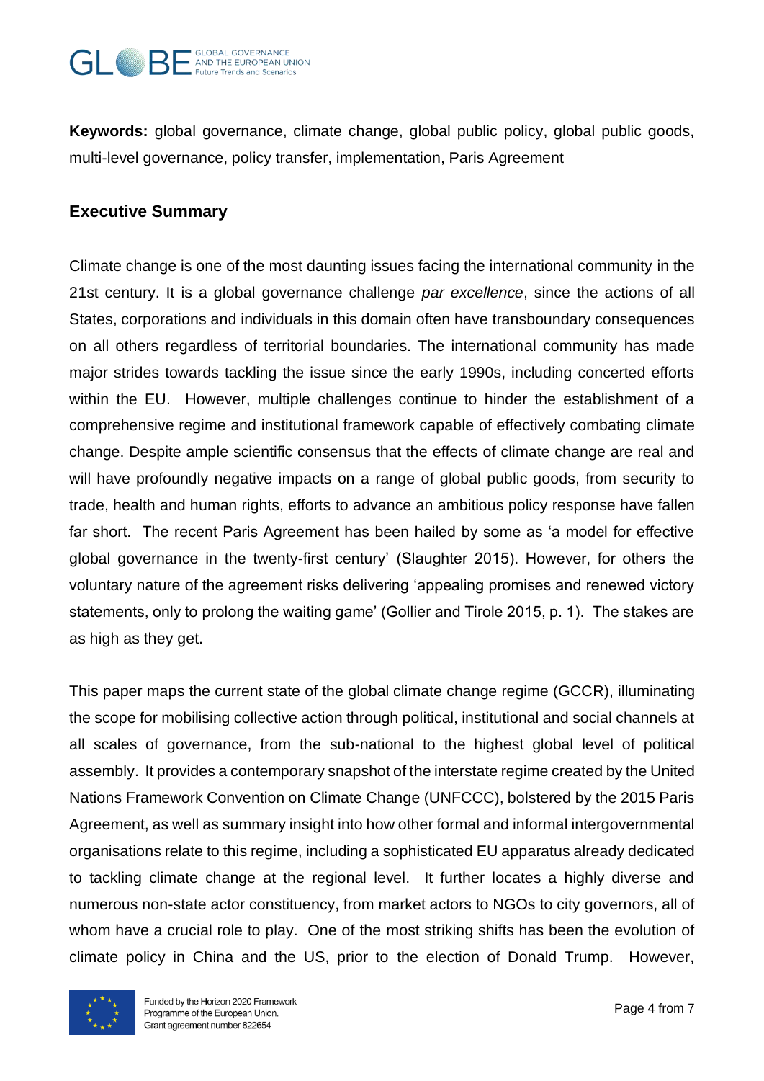

**Keywords:** global governance, climate change, global public policy, global public goods, multi-level governance, policy transfer, implementation, Paris Agreement

# **Executive Summary**

Climate change is one of the most daunting issues facing the international community in the 21st century. It is a global governance challenge *par excellence*, since the actions of all States, corporations and individuals in this domain often have transboundary consequences on all others regardless of territorial boundaries. The international community has made major strides towards tackling the issue since the early 1990s, including concerted efforts within the EU. However, multiple challenges continue to hinder the establishment of a comprehensive regime and institutional framework capable of effectively combating climate change. Despite ample scientific consensus that the effects of climate change are real and will have profoundly negative impacts on a range of global public goods, from security to trade, health and human rights, efforts to advance an ambitious policy response have fallen far short. The recent Paris Agreement has been hailed by some as 'a model for effective global governance in the twenty-first century' (Slaughter 2015). However, for others the voluntary nature of the agreement risks delivering 'appealing promises and renewed victory statements, only to prolong the waiting game' (Gollier and Tirole 2015, p. 1). The stakes are as high as they get.

This paper maps the current state of the global climate change regime (GCCR), illuminating the scope for mobilising collective action through political, institutional and social channels at all scales of governance, from the sub-national to the highest global level of political assembly. It provides a contemporary snapshot of the interstate regime created by the United Nations Framework Convention on Climate Change (UNFCCC), bolstered by the 2015 Paris Agreement, as well as summary insight into how other formal and informal intergovernmental organisations relate to this regime, including a sophisticated EU apparatus already dedicated to tackling climate change at the regional level. It further locates a highly diverse and numerous non-state actor constituency, from market actors to NGOs to city governors, all of whom have a crucial role to play. One of the most striking shifts has been the evolution of climate policy in China and the US, prior to the election of Donald Trump. However,

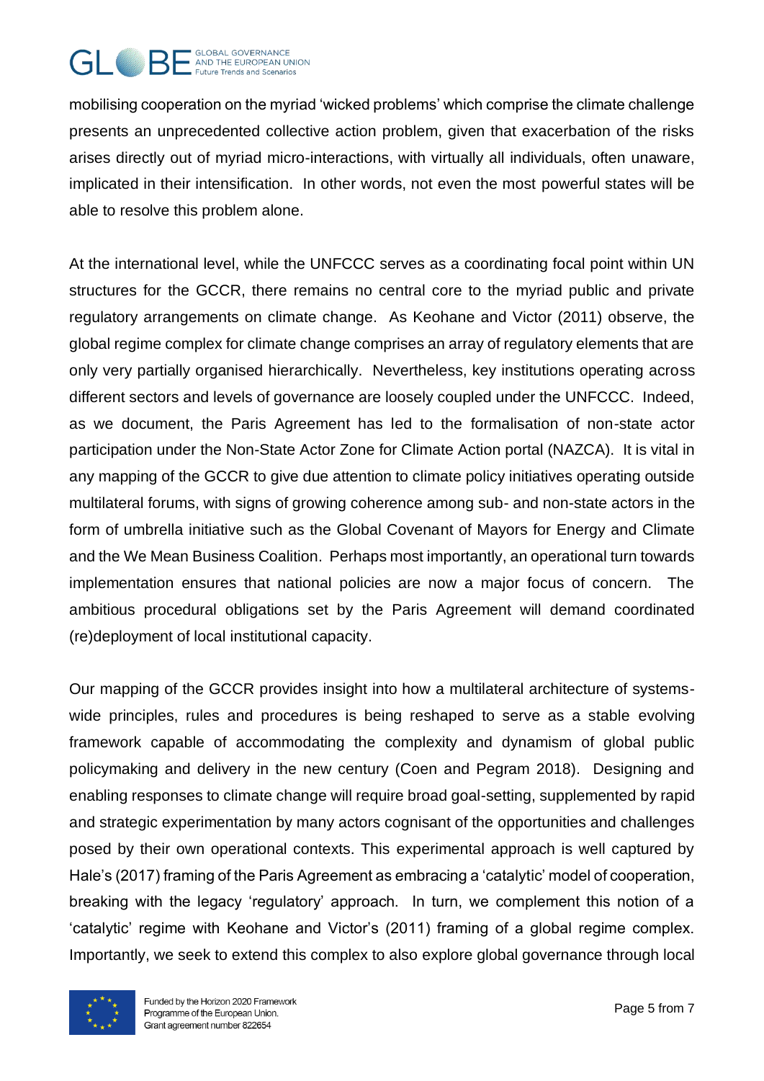#### GLOBAL GOVERNANCE GI AND THE EUROPEAN UNION Future Trends and Scenarios

mobilising cooperation on the myriad 'wicked problems' which comprise the climate challenge presents an unprecedented collective action problem, given that exacerbation of the risks arises directly out of myriad micro-interactions, with virtually all individuals, often unaware, implicated in their intensification. In other words, not even the most powerful states will be able to resolve this problem alone.

At the international level, while the UNFCCC serves as a coordinating focal point within UN structures for the GCCR, there remains no central core to the myriad public and private regulatory arrangements on climate change. As Keohane and Victor (2011) observe, the global regime complex for climate change comprises an array of regulatory elements that are only very partially organised hierarchically. Nevertheless, key institutions operating across different sectors and levels of governance are loosely coupled under the UNFCCC. Indeed, as we document, the Paris Agreement has led to the formalisation of non-state actor participation under the Non-State Actor Zone for Climate Action portal (NAZCA). It is vital in any mapping of the GCCR to give due attention to climate policy initiatives operating outside multilateral forums, with signs of growing coherence among sub- and non-state actors in the form of umbrella initiative such as the Global Covenant of Mayors for Energy and Climate and the We Mean Business Coalition. Perhaps most importantly, an operational turn towards implementation ensures that national policies are now a major focus of concern. The ambitious procedural obligations set by the Paris Agreement will demand coordinated (re)deployment of local institutional capacity.

Our mapping of the GCCR provides insight into how a multilateral architecture of systemswide principles, rules and procedures is being reshaped to serve as a stable evolving framework capable of accommodating the complexity and dynamism of global public policymaking and delivery in the new century (Coen and Pegram 2018). Designing and enabling responses to climate change will require broad goal-setting, supplemented by rapid and strategic experimentation by many actors cognisant of the opportunities and challenges posed by their own operational contexts. This experimental approach is well captured by Hale's (2017) framing of the Paris Agreement as embracing a 'catalytic' model of cooperation, breaking with the legacy 'regulatory' approach. In turn, we complement this notion of a 'catalytic' regime with Keohane and Victor's (2011) framing of a global regime complex. Importantly, we seek to extend this complex to also explore global governance through local

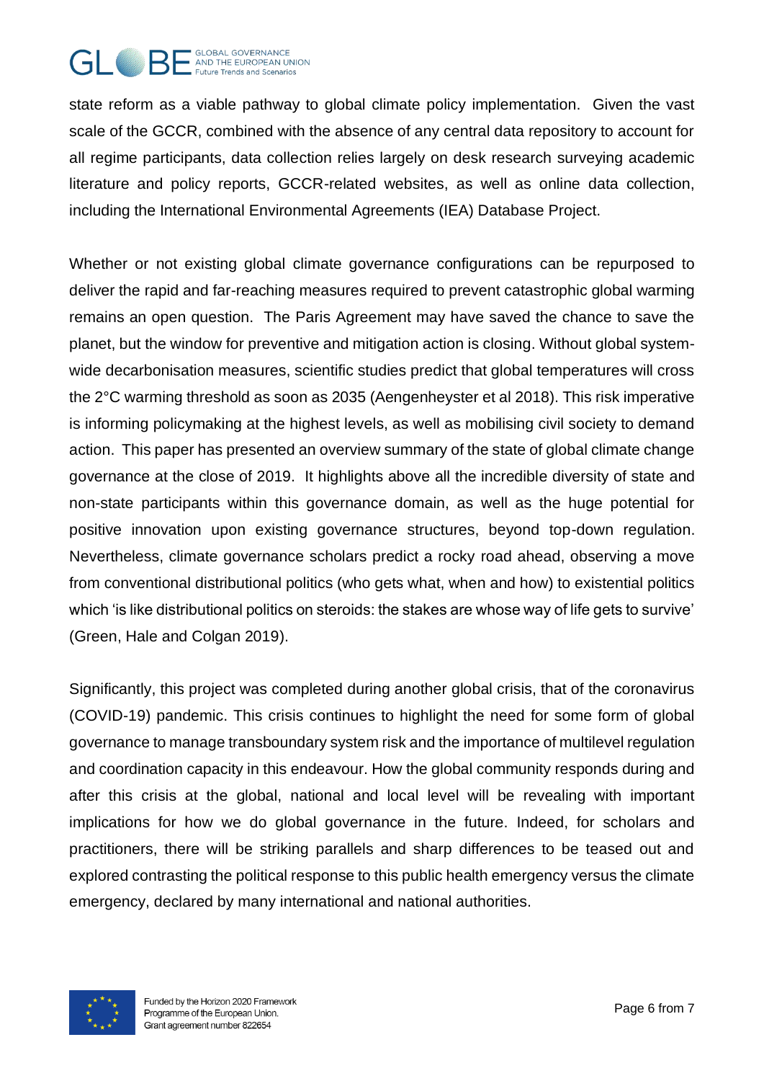

state reform as a viable pathway to global climate policy implementation. Given the vast scale of the GCCR, combined with the absence of any central data repository to account for all regime participants, data collection relies largely on desk research surveying academic literature and policy reports, GCCR-related websites, as well as online data collection, including the International Environmental Agreements (IEA) Database Project.

Whether or not existing global climate governance configurations can be repurposed to deliver the rapid and far-reaching measures required to prevent catastrophic global warming remains an open question. The Paris Agreement may have saved the chance to save the planet, but the window for preventive and mitigation action is closing. Without global systemwide decarbonisation measures, scientific studies predict that global temperatures will cross the 2°C warming threshold as soon as 2035 (Aengenheyster et al 2018). This risk imperative is informing policymaking at the highest levels, as well as mobilising civil society to demand action. This paper has presented an overview summary of the state of global climate change governance at the close of 2019. It highlights above all the incredible diversity of state and non-state participants within this governance domain, as well as the huge potential for positive innovation upon existing governance structures, beyond top-down regulation. Nevertheless, climate governance scholars predict a rocky road ahead, observing a move from conventional distributional politics (who gets what, when and how) to existential politics which 'is like distributional politics on steroids: the stakes are whose way of life gets to survive' (Green, Hale and Colgan 2019).

Significantly, this project was completed during another global crisis, that of the coronavirus (COVID-19) pandemic. This crisis continues to highlight the need for some form of global governance to manage transboundary system risk and the importance of multilevel regulation and coordination capacity in this endeavour. How the global community responds during and after this crisis at the global, national and local level will be revealing with important implications for how we do global governance in the future. Indeed, for scholars and practitioners, there will be striking parallels and sharp differences to be teased out and explored contrasting the political response to this public health emergency versus the climate emergency, declared by many international and national authorities.